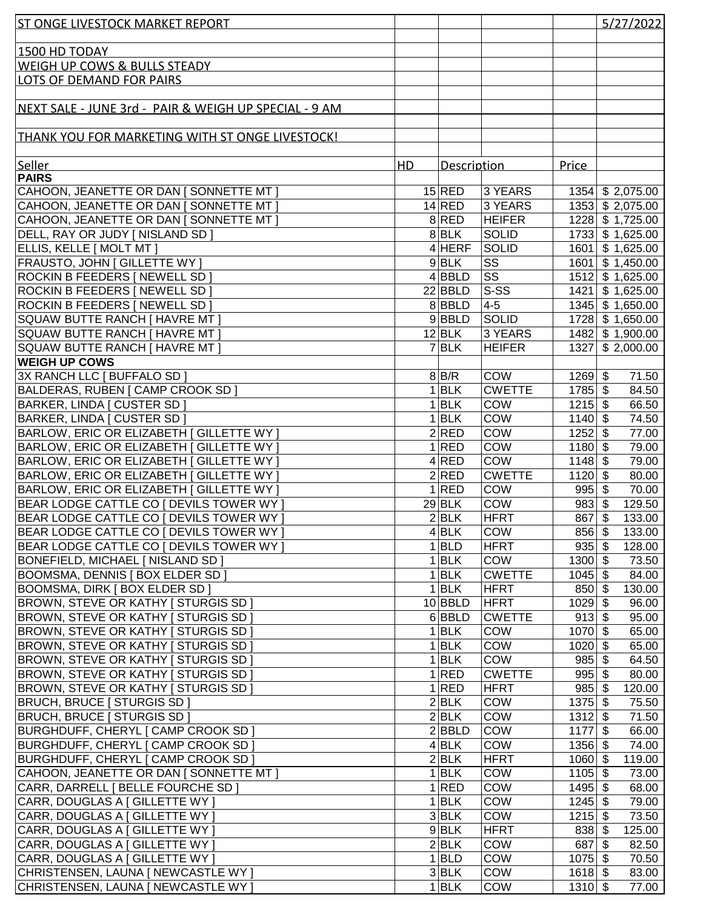| <b>ST ONGE LIVESTOCK MARKET REPORT</b>                                     |    |                    |                              |                             | 5/27/2022                     |
|----------------------------------------------------------------------------|----|--------------------|------------------------------|-----------------------------|-------------------------------|
|                                                                            |    |                    |                              |                             |                               |
| 1500 HD TODAY                                                              |    |                    |                              |                             |                               |
| WEIGH UP COWS & BULLS STEADY                                               |    |                    |                              |                             |                               |
| LOTS OF DEMAND FOR PAIRS                                                   |    |                    |                              |                             |                               |
|                                                                            |    |                    |                              |                             |                               |
| NEXT SALE - JUNE 3rd - PAIR & WEIGH UP SPECIAL - 9 AM                      |    |                    |                              |                             |                               |
|                                                                            |    |                    |                              |                             |                               |
| THANK YOU FOR MARKETING WITH ST ONGE LIVESTOCK!                            |    |                    |                              |                             |                               |
|                                                                            |    |                    |                              |                             |                               |
| Seller                                                                     | HD | Description        |                              | Price                       |                               |
| <b>PAIRS</b>                                                               |    |                    |                              |                             |                               |
| CAHOON, JEANETTE OR DAN   SONNETTE MT                                      |    | $15$ RED           | 3 YEARS                      |                             | 1354 \$2,075.00               |
| CAHOON, JEANETTE OR DAN [ SONNETTE MT ]                                    |    | 14 RED             | 3 YEARS                      |                             | 1353 \$2,075.00               |
| CAHOON, JEANETTE OR DAN [ SONNETTE MT ]                                    |    | 8 RED              | <b>HEIFER</b>                |                             | 1228 \$1,725.00               |
| DELL, RAY OR JUDY [ NISLAND SD ]                                           |    | 8 BLK              | <b>SOLID</b>                 |                             | 1733 \$1,625.00               |
| ELLIS, KELLE [ MOLT MT ]                                                   |    | $4$ HERF           | SOLID                        |                             | 1601 \$1,625.00               |
| <b>FRAUSTO, JOHN [ GILLETTE WY ]</b>                                       |    | $9$ BLK            | <b>SS</b>                    |                             | 1601 \$1,450.00               |
| ROCKIN B FEEDERS [ NEWELL SD ]                                             |    | 4 BBLD             | <b>SS</b>                    |                             | $1512$ \$ 1,625.00            |
| ROCKIN B FEEDERS   NEWELL SD                                               |    | $22$ <b>BBLD</b>   | $ S-SS $                     |                             | 1421 \$1,625.00               |
| ROCKIN B FEEDERS [ NEWELL SD ]                                             |    | 8BBLD              | $4-5$                        |                             | 1345 \$1,650.00               |
| SQUAW BUTTE RANCH [ HAVRE MT ]                                             |    | $9$ BBLD           | SOLID                        |                             | $\overline{1728}$ \$ 1,650.00 |
| SQUAW BUTTE RANCH [ HAVRE MT ]                                             |    | $12$ BLK           | 3 YEARS                      |                             | $1482 \mid$ \$ 1,900.00       |
| SQUAW BUTTE RANCH [ HAVRE MT ]                                             |    | $7$ $BLK$          | <b>HEIFER</b>                |                             | 1327 \$2,000.00               |
| <b>WEIGH UP COWS</b>                                                       |    |                    |                              |                             |                               |
| 3X RANCH LLC [ BUFFALO SD ]                                                |    | 8 B/R              | <b>COW</b>                   | $1269$ \$                   | 71.50                         |
| BALDERAS, RUBEN   CAMP CROOK SD                                            |    | $1$ <b>BLK</b>     | <b>CWETTE</b>                | $1785$ \$                   | 84.50                         |
| BARKER, LINDA   CUSTER SD                                                  | 1  | <b>BLK</b>         | COW                          | $1215$ \$                   | 66.50                         |
| BARKER, LINDA   CUSTER SD                                                  | 1  | <b>BLK</b>         | COW                          | $1140$ \$                   | 74.50                         |
| BARLOW, ERIC OR ELIZABETH   GILLETTE WY                                    |    | 2 RED              | <b>COW</b>                   | $1252$ \$                   | 77.00                         |
| BARLOW, ERIC OR ELIZABETH   GILLETTE WY                                    |    | 1 RED              | <b>COW</b>                   | $1180$ \$                   | 79.00                         |
| BARLOW, ERIC OR ELIZABETH   GILLETTE WY                                    |    | 4 RED              | <b>COW</b>                   | $1148$ \$                   | 79.00                         |
| BARLOW, ERIC OR ELIZABETH   GILLETTE WY                                    |    | 2 RED              | <b>CWETTE</b>                | $1120$ \$                   | 80.00                         |
| BARLOW, ERIC OR ELIZABETH   GILLETTE WY                                    |    | 1 RED              | <b>COW</b>                   | $995$ \$                    | 70.00                         |
| BEAR LODGE CATTLE CO   DEVILS TOWER WY                                     |    | $29$ BLK           | <b>COW</b>                   | $983$ \$                    | 129.50                        |
| BEAR LODGE CATTLE CO [ DEVILS TOWER WY ]                                   |    | $\overline{2}$ BLK | HFRT                         | $867$ \$                    | 133.00                        |
| BEAR LODGE CATTLE CO   DEVILS TOWER WY                                     |    | 4 BLK              | <b>COW</b>                   | $856 $ \$                   | 133.00                        |
| BEAR LODGE CATTLE CO   DEVILS TOWER WY                                     |    | $1 $ BLD           | <b>HFRT</b>                  | $935$ \$                    | 128.00                        |
| <b>BONEFIELD, MICHAEL [ NISLAND SD ]</b><br>BOOMSMA, DENNIS   BOX ELDER SD |    | 1 BLK              | <b>COW</b>                   | $1300 \, \sqrt{3}$          | 73.50                         |
| BOOMSMA, DIRK   BOX ELDER SD                                               |    | 1 BLK<br>1 BLK     | <b>CWETTE</b><br><b>HFRT</b> | $1045$ \$<br>$850 $ \$      | 84.00                         |
| BROWN, STEVE OR KATHY [ STURGIS SD ]                                       |    | $10$ BBLD          | HFRT                         | $1029$ \$                   | 130.00<br>96.00               |
| <b>BROWN, STEVE OR KATHY [ STURGIS SD ]</b>                                |    | 6 BBLD             | <b>CWETTE</b>                | $913$ \$                    | 95.00                         |
| BROWN, STEVE OR KATHY   STURGIS SD                                         | 1  | <b>BLK</b>         | <b>COW</b>                   | $1070$ \$                   | 65.00                         |
| BROWN, STEVE OR KATHY   STURGIS SD                                         | 1  | <b>BLK</b>         | <b>COW</b>                   | $1020$ \$                   | 65.00                         |
| BROWN, STEVE OR KATHY   STURGIS SD                                         | 1  | <b>BLK</b>         | <b>COW</b>                   | $985$ \$                    | 64.50                         |
| <b>BROWN, STEVE OR KATHY [ STURGIS SD ]</b>                                |    | 1 RED              | <b>CWETTE</b>                | $995$ \$                    | 80.00                         |
| BROWN, STEVE OR KATHY [ STURGIS SD ]                                       |    | 1 RED              | <b>HFRT</b>                  | $985$ \$                    | 120.00                        |
| <b>BRUCH, BRUCE   STURGIS SD  </b>                                         |    | 2 BLK              | <b>COW</b>                   | $1375$ \$                   | 75.50                         |
| <b>BRUCH, BRUCE   STURGIS SD  </b>                                         |    | 2 BLK              | <b>COW</b>                   | $1312$ \$                   | 71.50                         |
| BURGHDUFF, CHERYL [ CAMP CROOK SD ]                                        |    | 2 BBLD             | <b>COW</b>                   | $1177$ \$                   | 66.00                         |
| <b>BURGHDUFF, CHERYL [ CAMP CROOK SD ]</b>                                 |    | 4 BLK              | <b>COW</b>                   | $1356$ \$                   | 74.00                         |
| BURGHDUFF, CHERYL   CAMP CROOK SD ]                                        |    | 2 BLK              | HFRT                         | $1060$ \$                   | 119.00                        |
| CAHOON, JEANETTE OR DAN [ SONNETTE MT ]                                    |    | 1 BLK              | <b>COW</b>                   | $1105 \overline{\smash{3}}$ | 73.00                         |
| CARR, DARRELL [ BELLE FOURCHE SD ]                                         |    | 1 RED              | <b>COW</b>                   | $1495$ \$                   | 68.00                         |
| CARR, DOUGLAS A [ GILLETTE WY ]                                            |    | 1 BLK              | <b>COW</b>                   | $1245$ \$                   | 79.00                         |
| CARR, DOUGLAS A [ GILLETTE WY ]                                            |    | 3 BLK              | <b>COW</b>                   | $1215$ \$                   | 73.50                         |
| CARR, DOUGLAS A [ GILLETTE WY ]                                            |    | $9$ $BLK$          | <b>HFRT</b>                  | $838$ \$                    | 125.00                        |
| CARR, DOUGLAS A [ GILLETTE WY ]                                            |    | 2 BLK              | <b>COW</b>                   | $687$ \$                    | 82.50                         |
| CARR, DOUGLAS A [ GILLETTE WY ]                                            |    | $1 $ BLD           | <b>COW</b>                   | $1075$ \$                   | 70.50                         |
| CHRISTENSEN, LAUNA [ NEWCASTLE WY ]                                        |    | 3 BLK              | COW                          | $1618$ \$                   | 83.00                         |
| CHRISTENSEN, LAUNA [ NEWCASTLE WY ]                                        |    | $1$ <b>BLK</b>     | <b>COW</b>                   | $1310$ \$                   | 77.00                         |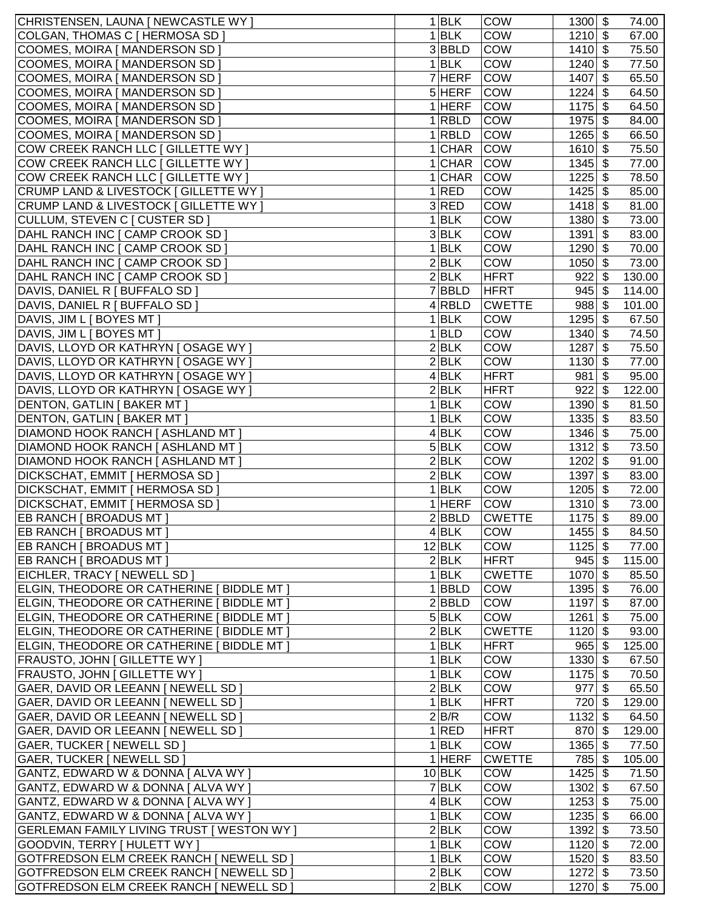| CHRISTENSEN, LAUNA [ NEWCASTLE WY ]                                        |   | 1 BLK                    | <b>COW</b>                  | $1300$ \$              |     | 74.00           |
|----------------------------------------------------------------------------|---|--------------------------|-----------------------------|------------------------|-----|-----------------|
| COLGAN, THOMAS C [ HERMOSA SD ]                                            |   | 1 BLK                    | COW                         | $1210$ \$              |     | 67.00           |
| COOMES, MOIRA [ MANDERSON SD ]                                             |   | 3BBLD                    | COW                         | $1410$ \$              |     | 75.50           |
| COOMES, MOIRA [ MANDERSON SD ]                                             |   | 1 BLK                    | COW                         | $1240$ \$              |     | 77.50           |
| COOMES, MOIRA [ MANDERSON SD ]                                             |   | 7 HERF                   | <b>COW</b>                  | $1407$ \$              |     | 65.50           |
| COOMES, MOIRA [ MANDERSON SD ]                                             |   | $5$ HERF                 | COW                         | $1224$ \$              |     | 64.50           |
| COOMES, MOIRA [ MANDERSON SD ]                                             |   | $1$ HERF                 | <b>COW</b>                  | $1175$ \$              |     | 64.50           |
| COOMES, MOIRA [ MANDERSON SD ]                                             | 1 | <b>RBLD</b>              | <b>COW</b>                  | $1975$ \$              |     | 84.00           |
| COOMES, MOIRA [ MANDERSON SD ]                                             |   | $1$ RBLD                 | <b>COW</b>                  | $1265$ \$              |     | 66.50           |
| COW CREEK RANCH LLC [ GILLETTE WY ]                                        |   | 1 CHAR                   | <b>COW</b>                  | $1610$ \$              |     | 75.50           |
| COW CREEK RANCH LLC [ GILLETTE WY ]                                        |   | 1 CHAR                   | <b>COW</b>                  | $1345$ \$              |     | 77.00           |
| COW CREEK RANCH LLC [ GILLETTE WY ]                                        |   | 1 CHAR                   | <b>COW</b>                  | $1225$ \$              |     | 78.50           |
| CRUMP LAND & LIVESTOCK [ GILLETTE WY ]                                     |   | 1 RED                    | <b>COW</b>                  | $1425$ \$              |     | 85.00           |
| CRUMP LAND & LIVESTOCK [ GILLETTE WY ]                                     |   | 3 RED                    | <b>COW</b>                  | $1418$ \$              |     | 81.00           |
| CULLUM, STEVEN C [ CUSTER SD ]                                             |   | 1 BLK                    | <b>COW</b>                  | $1380$ \$              |     | 73.00           |
| DAHL RANCH INC [ CAMP CROOK SD ]                                           |   | 3 BLK                    | COW                         | $1391$ \$              |     | 83.00           |
| DAHL RANCH INC [ CAMP CROOK SD ]                                           | 1 | <b>BLK</b>               | COW                         | $1290$ \$              |     | 70.00           |
| DAHL RANCH INC [ CAMP CROOK SD ]                                           |   | 2 BLK                    | <b>COW</b>                  | $1050$ \$              |     | 73.00           |
| DAHL RANCH INC [ CAMP CROOK SD ]<br>DAVIS, DANIEL R [ BUFFALO SD ]         |   | 2 BLK<br><b>BBLD</b>     | <b>HFRT</b><br><b>HFRT</b>  | $922$ \$<br>$945$ \$   |     | 130.00          |
| DAVIS, DANIEL R [ BUFFALO SD ]                                             |   | 4 RBLD                   | <b>CWETTE</b>               | $988$ \$               |     | 114.00          |
| DAVIS, JIM L [ BOYES MT ]                                                  |   | 1 BLK                    | <b>COW</b>                  | $1295$ \$              |     | 101.00<br>67.50 |
| DAVIS, JIM L [ BOYES MT ]                                                  |   | $1 $ BLD                 | <b>COW</b>                  | $1340$ \$              |     | 74.50           |
| DAVIS, LLOYD OR KATHRYN J OSAGE WY ]                                       |   | 2 BLK                    | <b>COW</b>                  | 1287                   | -\$ | 75.50           |
| DAVIS, LLOYD OR KATHRYN J OSAGE WY ]                                       |   | $2$ <b>BLK</b>           | COW                         | $1130$ \$              |     | 77.00           |
| DAVIS, LLOYD OR KATHRYN J OSAGE WY ]                                       |   | 4 BLK                    | <b>HFRT</b>                 | $981$ \$               |     | 95.00           |
| DAVIS, LLOYD OR KATHRYN J OSAGE WY ]                                       |   | 2 BLK                    | <b>HFRT</b>                 | $922$ \$               |     | 122.00          |
| <b>DENTON, GATLIN   BAKER MT  </b>                                         |   | 1 BLK                    | COW                         | $1390$ \$              |     | 81.50           |
| DENTON, GATLIN [ BAKER MT ]                                                |   | 1 BLK                    | COW                         | $1335$ \$              |     | 83.50           |
| <b>DIAMOND HOOK RANCH [ ASHLAND MT ]</b>                                   |   | 4 BLK                    | COW                         | $1346$ \$              |     | 75.00           |
| <b>DIAMOND HOOK RANCH [ ASHLAND MT ]</b>                                   |   | 5 BLK                    | COW                         | $1312$ \$              |     | 73.50           |
| <b>DIAMOND HOOK RANCH [ ASHLAND MT ]</b>                                   |   | 2 BLK                    | COW                         | $1202$ \$              |     | 91.00           |
| <b>DICKSCHAT, EMMIT   HERMOSA SD  </b>                                     |   | 2 BLK                    | COW                         | $1397$ \$              |     | 83.00           |
| <b>DICKSCHAT, EMMIT   HERMOSA SD  </b>                                     | 1 | <b>BLK</b>               | COW                         | $1205$ \$              |     | 72.00           |
| DICKSCHAT, EMMIT   HERMOSA SD ]                                            | 1 | HERF                     | COW                         | $1310$ \$              |     | 73.00           |
| EB RANCH [ BROADUS MT ]                                                    |   | 2 BBLD                   | <b>CWETTE</b>               | $1175$ \$              |     | 89.00           |
| EB RANCH [ BROADUS MT ]                                                    |   | $4$ BLK                  | <b>COW</b>                  | $1455$ \$              |     | 84.50           |
| EB RANCH   BROADUS MT                                                      |   | $12$ <b>BLK</b>          | <b>COW</b>                  | $1125$ \$              |     | 77.00           |
| EB RANCH [ BROADUS MT ]                                                    |   | 2 BLK                    | HFRT                        | $945$ \$               |     | 115.00          |
| EICHLER, TRACY   NEWELL SD  <br>ELGIN, THEODORE OR CATHERINE [ BIDDLE MT ] |   | 1 BLK<br>$1$ <b>BBLD</b> | <b>CWETTE</b><br><b>COW</b> | $1070$ \$<br>$1395$ \$ |     | 85.50<br>76.00  |
| ELGIN, THEODORE OR CATHERINE [ BIDDLE MT ]                                 |   | 2 BBLD                   | <b>COW</b>                  | $1197$ \$              |     | 87.00           |
| ELGIN, THEODORE OR CATHERINE [ BIDDLE MT ]                                 |   | 5 BLK                    | <b>COW</b>                  | $1261$ \$              |     | 75.00           |
| ELGIN, THEODORE OR CATHERINE [ BIDDLE MT ]                                 |   | 2 BLK                    | <b>CWETTE</b>               | $1120$ \$              |     | 93.00           |
| ELGIN, THEODORE OR CATHERINE [ BIDDLE MT ]                                 |   | 1 BLK                    | <b>HFRT</b>                 | $965$ \$               |     | 125.00          |
| <b>FRAUSTO, JOHN [ GILLETTE WY ]</b>                                       |   | 1 BLK                    | COW                         | $1330 $ \$             |     | 67.50           |
| <b>FRAUSTO, JOHN [ GILLETTE WY ]</b>                                       |   | 1 BLK                    | COW                         | $1175$ \$              |     | 70.50           |
| GAER, DAVID OR LEEANN   NEWELL SD                                          |   | 2 BLK                    | COW                         | $977$ \$               |     | 65.50           |
| GAER, DAVID OR LEEANN   NEWELL SD                                          |   | $1$ <b>BLK</b>           | <b>HFRT</b>                 | $720$ \$               |     | 129.00          |
| GAER, DAVID OR LEEANN   NEWELL SD                                          |   | 2 B/R                    | COW                         | $1132$ \$              |     | 64.50           |
| GAER, DAVID OR LEEANN [ NEWELL SD ]                                        |   | 1 RED                    | <b>HFRT</b>                 | $870$ \$               |     | 129.00          |
| GAER, TUCKER   NEWELL SD                                                   |   | $1$ <b>BLK</b>           | COW                         | $1365$ \$              |     | 77.50           |
| GAER, TUCKER [ NEWELL SD ]                                                 |   | $1$ HERF                 | <b>CWETTE</b>               | 785 \$                 |     | 105.00          |
| GANTZ, EDWARD W & DONNA [ ALVA WY ]                                        |   | $10$ BLK                 | <b>COW</b>                  | $1425$ \$              |     | 71.50           |
| GANTZ, EDWARD W & DONNA [ ALVA WY ]                                        |   | $7$ $BLK$                | COW                         | $1302$ \$              |     | 67.50           |
| GANTZ, EDWARD W & DONNA [ ALVA WY ]                                        |   | 4 BLK                    | COW                         | $1253$ \$              |     | 75.00           |
| GANTZ, EDWARD W & DONNA [ ALVA WY ]                                        |   | 1 BLK                    | <b>COW</b>                  | $1235$ \$              |     | 66.00           |
| <b>GERLEMAN FAMILY LIVING TRUST [ WESTON WY ]</b>                          |   | 2 BLK                    | COW                         | $1392$ \$              |     | 73.50           |
| GOODVIN, TERRY   HULETT WY  <br>GOTFREDSON ELM CREEK RANCH   NEWELL SD     |   | 1 BLK<br>1 BLK           | COW<br><b>COW</b>           | $1120$ \$<br>$1520$ \$ |     | 72.00<br>83.50  |
| GOTFREDSON ELM CREEK RANCH [ NEWELL SD ]                                   |   | 2 BLK                    | <b>COW</b>                  | $1272$ \$              |     | 73.50           |
| GOTFREDSON ELM CREEK RANCH   NEWELL SD                                     |   | 2 BLK                    | <b>COW</b>                  | $1270$ \$              |     | 75.00           |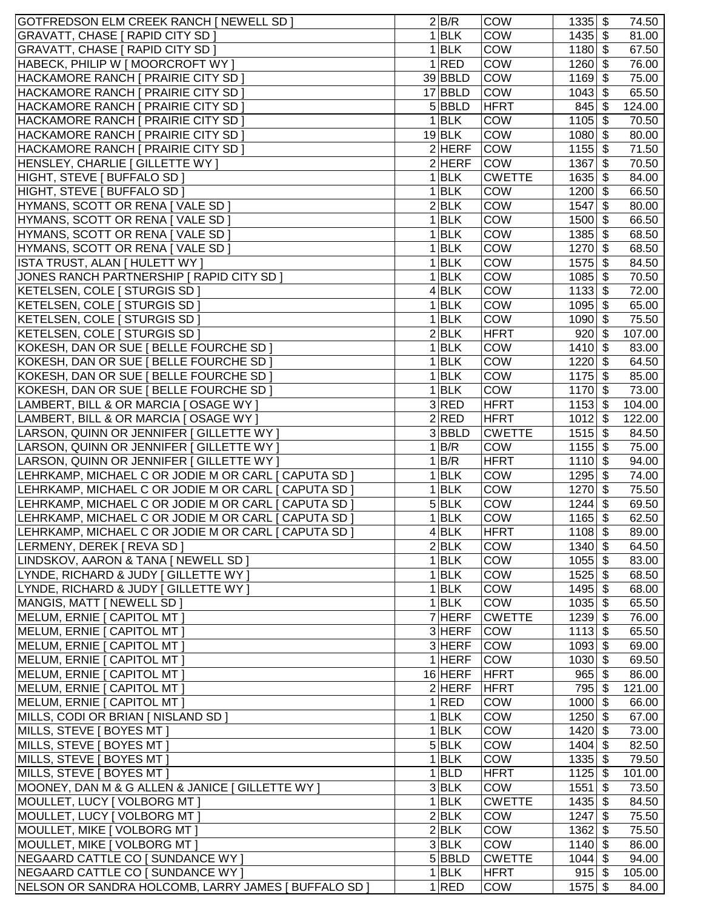| GOTFREDSON ELM CREEK RANCH [ NEWELL SD ]             |   | 2 B/R          | <b>COW</b>    | $1335$ \$  | 74.50  |
|------------------------------------------------------|---|----------------|---------------|------------|--------|
| <b>GRAVATT, CHASE [ RAPID CITY SD ]</b>              |   | 1 BLK          | COW           | $1435$ \$  | 81.00  |
| <b>GRAVATT, CHASE [ RAPID CITY SD ]</b>              |   | <b>BLK</b>     | <b>COW</b>    | $1180$ \$  | 67.50  |
| HABECK, PHILIP W [ MOORCROFT WY ]                    | 1 | <b>RED</b>     | COW           | $1260$ \$  | 76.00  |
| HACKAMORE RANCH [ PRAIRIE CITY SD ]                  |   | 39 BBLD        | <b>COW</b>    | $1169$ \$  | 75.00  |
| HACKAMORE RANCH [ PRAIRIE CITY SD ]                  |   | 17 BBLD        | <b>COW</b>    | $1043$ \$  | 65.50  |
| HACKAMORE RANCH [ PRAIRIE CITY SD ]                  |   | 5 BBLD         | <b>HFRT</b>   | $845$ \$   | 124.00 |
| HACKAMORE RANCH [ PRAIRIE CITY SD ]                  |   | 1 BLK          | <b>COW</b>    | $1105$ \$  | 70.50  |
| HACKAMORE RANCH   PRAIRIE CITY SD                    |   | $19$ BLK       | COW           | $1080$ \$  | 80.00  |
| HACKAMORE RANCH   PRAIRIE CITY SD                    |   | $2$ HERF       | <b>COW</b>    | $1155$ \$  | 71.50  |
| HENSLEY, CHARLIE   GILLETTE WY ]                     |   | $2$ HERF       | <b>COW</b>    | 1367<br>\$ | 70.50  |
| HIGHT, STEVE [ BUFFALO SD ]                          |   | 1 BLK          | <b>CWETTE</b> | $1635$ \$  | 84.00  |
| HIGHT, STEVE [ BUFFALO SD ]                          |   | 1 BLK          | COW           | $1200$ \$  | 66.50  |
| HYMANS, SCOTT OR RENA [ VALE SD ]                    |   | 2 BLK          | COW           | $1547$ \$  | 80.00  |
| HYMANS, SCOTT OR RENA [ VALE SD ]                    |   | 1 BLK          | COW           | $1500$ \$  | 66.50  |
| HYMANS, SCOTT OR RENA [ VALE SD ]                    |   | $1$ <b>BLK</b> | <b>COW</b>    | $1385$ \$  | 68.50  |
| HYMANS, SCOTT OR RENA [ VALE SD ]                    |   |                |               |            |        |
|                                                      |   | $1$ <b>BLK</b> | COW           | $1270$ \$  | 68.50  |
| ISTA TRUST, ALAN [ HULETT WY ]                       |   | 1 BLK          | COW           | $1575$ \$  | 84.50  |
| JONES RANCH PARTNERSHIP [ RAPID CITY SD ]            |   | 1 BLK          | COW           | $1085$ \$  | 70.50  |
| KETELSEN, COLE [ STURGIS SD ]                        |   | 4 BLK          | COW           | $1133$ \$  | 72.00  |
| KETELSEN, COLE   STURGIS SD                          |   | 1 BLK          | <b>COW</b>    | $1095$ \$  | 65.00  |
| KETELSEN, COLE [ STURGIS SD ]                        |   | $1$ <b>BLK</b> | COW           | $1090$ \$  | 75.50  |
| KETELSEN, COLE   STURGIS SD                          |   | 2 BLK          | <b>HFRT</b>   | $920 $ \$  | 107.00 |
| KOKESH, DAN OR SUE   BELLE FOURCHE SD                |   | 1 BLK          | COW           | $1410$ \$  | 83.00  |
| KOKESH, DAN OR SUE   BELLE FOURCHE SD                |   | $1$ <b>BLK</b> | COW           | $1220$ \$  | 64.50  |
| KOKESH, DAN OR SUE   BELLE FOURCHE SD                |   | 1 BLK          | COW           | $1175$ \$  | 85.00  |
| KOKESH, DAN OR SUE   BELLE FOURCHE SD                |   | 1 BLK          | COW           | $1170$ \$  | 73.00  |
| LAMBERT, BILL & OR MARCIA [ OSAGE WY ]               |   | 3RED           | <b>HFRT</b>   | $1153$ \$  | 104.00 |
| LAMBERT, BILL & OR MARCIA [ OSAGE WY ]               |   | 2 RED          | <b>HFRT</b>   | $1012$ \$  | 122.00 |
| LARSON, QUINN OR JENNIFER [ GILLETTE WY ]            |   | 3BBLD          | <b>CWETTE</b> | $1515$ \$  | 84.50  |
| LARSON, QUINN OR JENNIFER [ GILLETTE WY ]            |   | 1 B/R          | COW           | $1155$ \$  | 75.00  |
| LARSON, QUINN OR JENNIFER [ GILLETTE WY ]            |   | 1 B/R          | <b>HFRT</b>   | $1110$ \$  | 94.00  |
| LEHRKAMP, MICHAEL C OR JODIE M OR CARL [ CAPUTA SD ] |   | $1$ <b>BLK</b> | <b>COW</b>    | $1295$ \$  | 74.00  |
| LEHRKAMP, MICHAEL C OR JODIE M OR CARL [ CAPUTA SD ] |   | 1 BLK          | COW           | $1270$ \$  | 75.50  |
| LEHRKAMP, MICHAEL C OR JODIE M OR CARL [ CAPUTA SD ] |   | 5 BLK          | COW           | $1244$ \$  | 69.50  |
| LEHRKAMP, MICHAEL C OR JODIE M OR CARL [ CAPUTA SD ] | 1 | <b>BLK</b>     | COW           | $1165$ \$  | 62.50  |
| LEHRKAMP, MICHAEL C OR JODIE M OR CARL [ CAPUTA SD ] |   | $4$ BLK        | <b>HFRT</b>   | $1108$ \$  | 89.00  |
| LERMENY, DEREK [ REVA SD ]                           |   | 2 BLK          | COW           | $1340$ \$  | 64.50  |
| LINDSKOV, AARON & TANA [ NEWELL SD ]                 |   | 1 BLK          | <b>COW</b>    | $1055$ \$  | 83.00  |
| LYNDE, RICHARD & JUDY [ GILLETTE WY ]                |   | 1 BLK          | COW           | $1525$ \$  | 68.50  |
| LYNDE, RICHARD & JUDY [ GILLETTE WY ]                |   | 1 BLK          | <b>COW</b>    | $1495$ \$  | 68.00  |
| MANGIS, MATT [ NEWELL SD ]                           |   | $1$ <b>BLK</b> | COW           | $1035$ \$  | 65.50  |
| MELUM, ERNIE [ CAPITOL MT ]                          |   | $7$ HERF       | <b>CWETTE</b> | $1239$ \$  | 76.00  |
| MELUM, ERNIE [ CAPITOL MT ]                          |   | 3 HERF         | <b>COW</b>    | $1113$ \$  | 65.50  |
| MELUM, ERNIE [ CAPITOL MT ]                          |   | $3$ HERF       | COW           | $1093$ \$  | 69.00  |
| MELUM, ERNIE [ CAPITOL MT ]                          |   | $1$ HERF       | COW           | $1030$ \$  | 69.50  |
| MELUM, ERNIE [ CAPITOL MT ]                          |   | $16$ HERF      | <b>HFRT</b>   | $965$ \$   | 86.00  |
| MELUM, ERNIE [ CAPITOL MT ]                          |   | $2$ HERF       | <b>HFRT</b>   | $795$ \$   | 121.00 |
| MELUM, ERNIE   CAPITOL MT                            |   | 1 RED          | COW           | $1000$ \$  | 66.00  |
| MILLS, CODI OR BRIAN   NISLAND SD                    |   | $1$ <b>BLK</b> | COW           | $1250$ \$  | 67.00  |
| MILLS, STEVE   BOYES MT                              |   | $1$ <b>BLK</b> | COW           | $1420$ \$  | 73.00  |
| MILLS, STEVE   BOYES MT                              |   | 5 BLK          | COW           | $1404$ \$  | 82.50  |
| MILLS, STEVE [ BOYES MT ]                            |   | $1$ <b>BLK</b> | COW           | $1335$ \$  | 79.50  |
| MILLS, STEVE [ BOYES MT ]                            |   | $1 $ BLD       | <b>HFRT</b>   | $1125$ \$  | 101.00 |
| MOONEY, DAN M & G ALLEN & JANICE [ GILLETTE WY ]     |   | 3 BLK          | COW           | $1551$ \$  | 73.50  |
| MOULLET, LUCY [ VOLBORG MT ]                         |   | 1 BLK          | <b>CWETTE</b> | $1435$ \$  | 84.50  |
| MOULLET, LUCY   VOLBORG MT                           |   | 2 BLK          | <b>COW</b>    | $1247$ \$  | 75.50  |
|                                                      |   | 2 BLK          | COW           |            |        |
| MOULLET, MIKE [ VOLBORG MT ]                         |   |                |               | $1362$ \$  | 75.50  |
| MOULLET, MIKE [ VOLBORG MT ]                         |   | 3 BLK          | COW           | $1140$ \$  | 86.00  |
| NEGAARD CATTLE CO [ SUNDANCE WY ]                    |   | 5 BBLD         | <b>CWETTE</b> | $1044$ \$  | 94.00  |
| NEGAARD CATTLE CO [ SUNDANCE WY ]                    |   | 1 BLK          | <b>HFRT</b>   | $915$ \$   | 105.00 |
| NELSON OR SANDRA HOLCOMB, LARRY JAMES [ BUFFALO SD ] |   | 1 RED          | <b>COW</b>    | $1575$ \$  | 84.00  |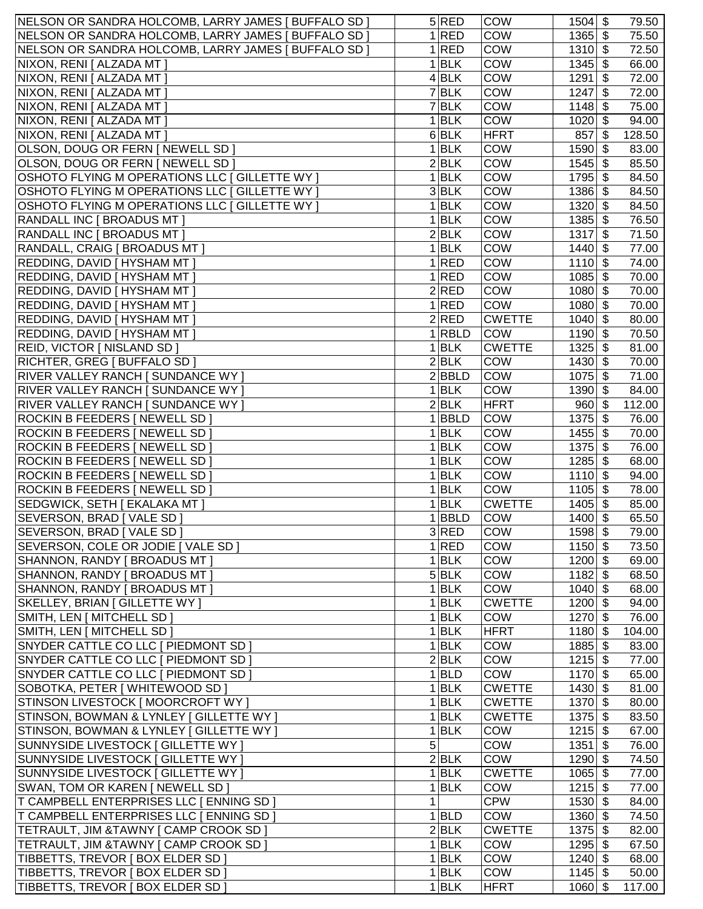| NELSON OR SANDRA HOLCOMB, LARRY JAMES [ BUFFALO SD ] |   | 5 RED              | <b>COW</b>    | $1504$ \$ | 79.50  |
|------------------------------------------------------|---|--------------------|---------------|-----------|--------|
| NELSON OR SANDRA HOLCOMB, LARRY JAMES [ BUFFALO SD ] |   | <b>RED</b>         | COW           | $1365$ \$ | 75.50  |
| NELSON OR SANDRA HOLCOMB, LARRY JAMES [ BUFFALO SD ] | 1 | RED                | <b>COW</b>    | $1310$ \$ | 72.50  |
| NIXON, RENI [ ALZADA MT ]                            | 1 | <b>BLK</b>         | COW           | $1345$ \$ | 66.00  |
| NIXON, RENI [ ALZADA MT ]                            |   | 4 BLK              | <b>COW</b>    | $1291$ \$ | 72.00  |
| NIXON, RENI [ ALZADA MT ]                            |   | $\overline{7}$ BLK | <b>COW</b>    | $1247$ \$ | 72.00  |
| NIXON, RENI [ ALZADA MT ]                            |   | 7 BLK              | <b>COW</b>    | $1148$ \$ | 75.00  |
| NIXON, RENI [ ALZADA MT ]                            |   | $1$ <b>BLK</b>     | <b>COW</b>    | $1020$ \$ | 94.00  |
| NIXON, RENI [ ALZADA MT ]                            |   | 6 BLK              | HFRT          | $857$ \$  | 128.50 |
|                                                      |   |                    | <b>COW</b>    |           |        |
| OLSON, DOUG OR FERN   NEWELL SD                      |   | $1$ <b>BLK</b>     |               | $1590$ \$ | 83.00  |
| OLSON, DOUG OR FERN   NEWELL SD                      |   | 2 BLK              | <b>COW</b>    | $1545$ \$ | 85.50  |
| OSHOTO FLYING M OPERATIONS LLC [ GILLETTE WY ]       |   | $1$ <b>BLK</b>     | <b>COW</b>    | $1795$ \$ | 84.50  |
| OSHOTO FLYING M OPERATIONS LLC [ GILLETTE WY ]       |   | 3 BLK              | <b>COW</b>    | 1386 \$   | 84.50  |
| OSHOTO FLYING M OPERATIONS LLC [ GILLETTE WY ]       |   | <b>BLK</b>         | <b>COW</b>    | $1320$ \$ | 84.50  |
| <b>RANDALL INC [ BROADUS MT ]</b>                    | 1 | <b>BLK</b>         | <b>COW</b>    | $1385$ \$ | 76.50  |
| <b>RANDALL INC [ BROADUS MT ]</b>                    | 2 | <b>BLK</b>         | COW           | $1317$ \$ | 71.50  |
| RANDALL, CRAIG [ BROADUS MT ]                        |   | <b>BLK</b>         | COW           | $1440$ \$ | 77.00  |
| REDDING, DAVID [ HYSHAM MT ]                         |   | RED                | COW           | $1110$ \$ | 74.00  |
| REDDING, DAVID [ HYSHAM MT ]                         |   | RED                | <b>COW</b>    | $1085$ \$ | 70.00  |
| REDDING, DAVID   HYSHAM MT                           |   | 2 RED              | <b>COW</b>    | $1080$ \$ | 70.00  |
| REDDING, DAVID   HYSHAM MT                           | 1 | <b>RED</b>         | <b>COW</b>    | $1080$ \$ | 70.00  |
| REDDING, DAVID   HYSHAM MT                           |   | 2 RED              | <b>CWETTE</b> | $1040$ \$ | 80.00  |
| <b>REDDING, DAVID [ HYSHAM MT ]</b>                  |   | $1 $ RBLD          | <b>COW</b>    | $1190$ \$ | 70.50  |
| REID, VICTOR [ NISLAND SD ]                          | 1 | <b>BLK</b>         | <b>CWETTE</b> | $1325$ \$ | 81.00  |
| RICHTER, GREG [ BUFFALO SD ]                         |   | 2 BLK              | <b>COW</b>    | $1430$ \$ | 70.00  |
| RIVER VALLEY RANCH [ SUNDANCE WY ]                   |   | 2 BBLD             | <b>COW</b>    | $1075$ \$ | 71.00  |
| RIVER VALLEY RANCH [ SUNDANCE WY ]                   |   | 1 BLK              | <b>COW</b>    | $1390$ \$ | 84.00  |
| RIVER VALLEY RANCH [ SUNDANCE WY ]                   |   | 2 BLK              | <b>HFRT</b>   | $960 $ \$ | 112.00 |
| ROCKIN B FEEDERS [ NEWELL SD ]                       |   | $1 $ BBLD          | <b>COW</b>    | $1375$ \$ | 76.00  |
| ROCKIN B FEEDERS [ NEWELL SD ]                       |   | $1$ <b>BLK</b>     | <b>COW</b>    | $1455$ \$ | 70.00  |
| ROCKIN B FEEDERS   NEWELL SD                         |   | <b>BLK</b>         | COW           | $1375$ \$ | 76.00  |
| ROCKIN B FEEDERS [ NEWELL SD ]                       |   | <b>BLK</b>         | COW           | $1285$ \$ | 68.00  |
| ROCKIN B FEEDERS   NEWELL SD ]                       |   | <b>BLK</b>         | COW           | $1110$ \$ | 94.00  |
| ROCKIN B FEEDERS [ NEWELL SD ]                       |   | <b>BLK</b>         | <b>COW</b>    | $1105$ \$ | 78.00  |
| SEDGWICK, SETH [ EKALAKA MT ]                        |   | <b>BLK</b>         | <b>CWETTE</b> | $1405$ \$ | 85.00  |
| SEVERSON, BRAD [ VALE SD ]                           |   | <b>BBLD</b>        | <b>COW</b>    | $1400$ \$ | 65.50  |
| SEVERSON, BRAD [ VALE SD ]                           |   | 3 RED              | <b>COW</b>    | $1598$ \$ | 79.00  |
| SEVERSON, COLE OR JODIE [ VALE SD ]                  |   | 1 RED              | <b>COW</b>    | $1150$ \$ | 73.50  |
| SHANNON, RANDY [ BROADUS MT ]                        |   | 1 BLK              | <b>COW</b>    | $1200$ \$ | 69.00  |
| SHANNON, RANDY [ BROADUS MT ]                        |   | 5 BLK              | <b>COW</b>    | $1182$ \$ | 68.50  |
| SHANNON, RANDY [ BROADUS MT ]                        |   | 1 BLK              | <b>COW</b>    | $1040$ \$ | 68.00  |
| SKELLEY, BRIAN [ GILLETTE WY ]                       |   | $1$ <b>BLK</b>     | <b>CWETTE</b> | $1200$ \$ | 94.00  |
| SMITH, LEN [ MITCHELL SD ]                           |   | 1 BLK              | <b>COW</b>    | $1270$ \$ | 76.00  |
| SMITH, LEN [ MITCHELL SD ]                           |   | $1$ <b>BLK</b>     | <b>HFRT</b>   | $1180$ \$ | 104.00 |
| SNYDER CATTLE CO LLC   PIEDMONT SD                   |   | $1$ <b>BLK</b>     | <b>COW</b>    | $1885$ \$ | 83.00  |
| SNYDER CATTLE CO LLC   PIEDMONT SD                   |   | 2 BLK              | <b>COW</b>    | $1215$ \$ | 77.00  |
| SNYDER CATTLE CO LLC   PIEDMONT SD                   |   | $1$ <b>BLD</b>     | <b>COW</b>    | $1170$ \$ | 65.00  |
| SOBOTKA, PETER   WHITEWOOD SD                        | 1 | <b>BLK</b>         | <b>CWETTE</b> | $1430$ \$ | 81.00  |
| STINSON LIVESTOCK [ MOORCROFT WY ]                   | 1 | <b>BLK</b>         | <b>CWETTE</b> | $1370$ \$ | 80.00  |
|                                                      |   | <b>BLK</b>         |               |           |        |
| STINSON, BOWMAN & LYNLEY [ GILLETTE WY ]             |   |                    | <b>CWETTE</b> | $1375$ \$ | 83.50  |
| STINSON, BOWMAN & LYNLEY [ GILLETTE WY ]             |   | <b>BLK</b>         | <b>COW</b>    | $1215$ \$ | 67.00  |
| SUNNYSIDE LIVESTOCK [ GILLETTE WY ]                  | 5 |                    | COW           | $1351$ \$ | 76.00  |
| SUNNYSIDE LIVESTOCK [ GILLETTE WY ]                  |   | 2 BLK              | <b>COW</b>    | $1290$ \$ | 74.50  |
| SUNNYSIDE LIVESTOCK [ GILLETTE WY ]                  |   | 1 BLK              | <b>CWETTE</b> | $1065$ \$ | 77.00  |
| SWAN, TOM OR KAREN [ NEWELL SD ]                     |   | $1$ <b>BLK</b>     | <b>COW</b>    | $1215$ \$ | 77.00  |
| T CAMPBELL ENTERPRISES LLC [ ENNING SD ]             |   |                    | <b>CPW</b>    | $1530$ \$ | 84.00  |
| T CAMPBELL ENTERPRISES LLC   ENNING SD               |   | 1 BLD              | <b>COW</b>    | $1360$ \$ | 74.50  |
| TETRAULT, JIM &TAWNY [ CAMP CROOK SD ]               |   | 2 BLK              | <b>CWETTE</b> | $1375$ \$ | 82.00  |
| TETRAULT, JIM & TAWNY [ CAMP CROOK SD ]              |   | 1 BLK              | <b>COW</b>    | $1295$ \$ | 67.50  |
| TIBBETTS, TREVOR [ BOX ELDER SD ]                    |   | 1 BLK              | <b>COW</b>    | $1240$ \$ | 68.00  |
| TIBBETTS, TREVOR   BOX ELDER SD                      |   | 1 BLK              | COW           | $1145$ \$ | 50.00  |
| TIBBETTS, TREVOR   BOX ELDER SD                      |   | $1$ <b>BLK</b>     | HFRT          | $1060$ \$ | 117.00 |